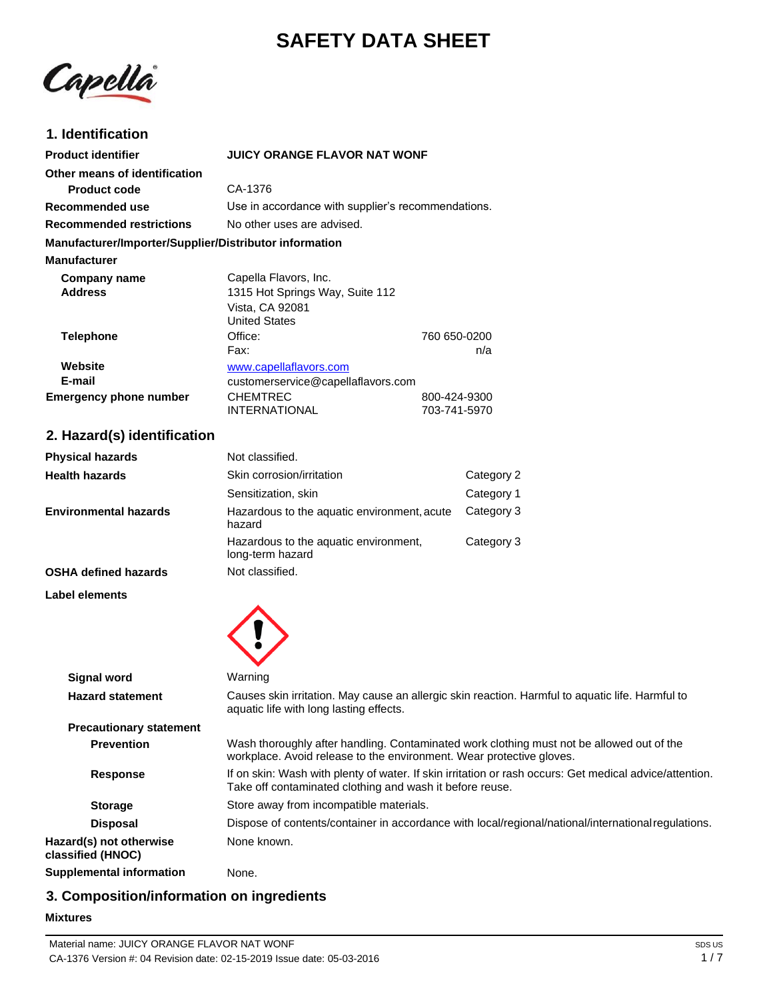# **SAFETY DATA SHEET**

Capella

### **1. Identification**

| <b>Product identifier</b>                              | JUICY ORANGE FLAVOR NAT WONF                                                                                                                                        |                              |                                                                                                     |
|--------------------------------------------------------|---------------------------------------------------------------------------------------------------------------------------------------------------------------------|------------------------------|-----------------------------------------------------------------------------------------------------|
| Other means of identification                          |                                                                                                                                                                     |                              |                                                                                                     |
| <b>Product code</b>                                    | CA-1376                                                                                                                                                             |                              |                                                                                                     |
| Recommended use                                        | Use in accordance with supplier's recommendations.                                                                                                                  |                              |                                                                                                     |
| <b>Recommended restrictions</b>                        | No other uses are advised.                                                                                                                                          |                              |                                                                                                     |
| Manufacturer/Importer/Supplier/Distributor information |                                                                                                                                                                     |                              |                                                                                                     |
| <b>Manufacturer</b>                                    |                                                                                                                                                                     |                              |                                                                                                     |
| Company name<br><b>Address</b>                         | Capella Flavors, Inc.<br>1315 Hot Springs Way, Suite 112<br>Vista, CA 92081<br><b>United States</b>                                                                 |                              |                                                                                                     |
| <b>Telephone</b>                                       | Office:                                                                                                                                                             | 760 650-0200                 |                                                                                                     |
|                                                        | Fax:                                                                                                                                                                |                              | n/a                                                                                                 |
| Website                                                | www.capellaflavors.com                                                                                                                                              |                              |                                                                                                     |
| E-mail                                                 | customerservice@capellaflavors.com<br><b>CHEMTREC</b>                                                                                                               |                              |                                                                                                     |
| <b>Emergency phone number</b>                          | <b>INTERNATIONAL</b>                                                                                                                                                | 800-424-9300<br>703-741-5970 |                                                                                                     |
| 2. Hazard(s) identification                            |                                                                                                                                                                     |                              |                                                                                                     |
| <b>Physical hazards</b>                                | Not classified.                                                                                                                                                     |                              |                                                                                                     |
| <b>Health hazards</b>                                  | Skin corrosion/irritation                                                                                                                                           |                              | Category 2                                                                                          |
|                                                        | Sensitization, skin                                                                                                                                                 |                              | Category 1                                                                                          |
| <b>Environmental hazards</b>                           | Hazardous to the aquatic environment, acute<br>hazard                                                                                                               |                              | Category 3                                                                                          |
|                                                        | Hazardous to the aquatic environment,<br>long-term hazard                                                                                                           |                              | Category 3                                                                                          |
| <b>OSHA defined hazards</b>                            | Not classified.                                                                                                                                                     |                              |                                                                                                     |
| Label elements                                         |                                                                                                                                                                     |                              |                                                                                                     |
|                                                        |                                                                                                                                                                     |                              |                                                                                                     |
| <b>Signal word</b>                                     | Warning                                                                                                                                                             |                              |                                                                                                     |
| <b>Hazard statement</b>                                | aquatic life with long lasting effects.                                                                                                                             |                              | Causes skin irritation. May cause an allergic skin reaction. Harmful to aquatic life. Harmful to    |
| <b>Precautionary statement</b>                         |                                                                                                                                                                     |                              |                                                                                                     |
| <b>Prevention</b>                                      | workplace. Avoid release to the environment. Wear protective gloves.                                                                                                |                              | Wash thoroughly after handling. Contaminated work clothing must not be allowed out of the           |
| <b>Response</b>                                        | If on skin: Wash with plenty of water. If skin irritation or rash occurs: Get medical advice/attention.<br>Take off contaminated clothing and wash it before reuse. |                              |                                                                                                     |
| <b>Storage</b>                                         | Store away from incompatible materials.                                                                                                                             |                              |                                                                                                     |
| <b>Disposal</b>                                        |                                                                                                                                                                     |                              | Dispose of contents/container in accordance with local/regional/national/international regulations. |
| Hazard(s) not otherwise<br>classified (HNOC)           | None known.                                                                                                                                                         |                              |                                                                                                     |
| <b>Supplemental information</b>                        | None.                                                                                                                                                               |                              |                                                                                                     |

# **3. Composition/information on ingredients**

#### **Mixtures**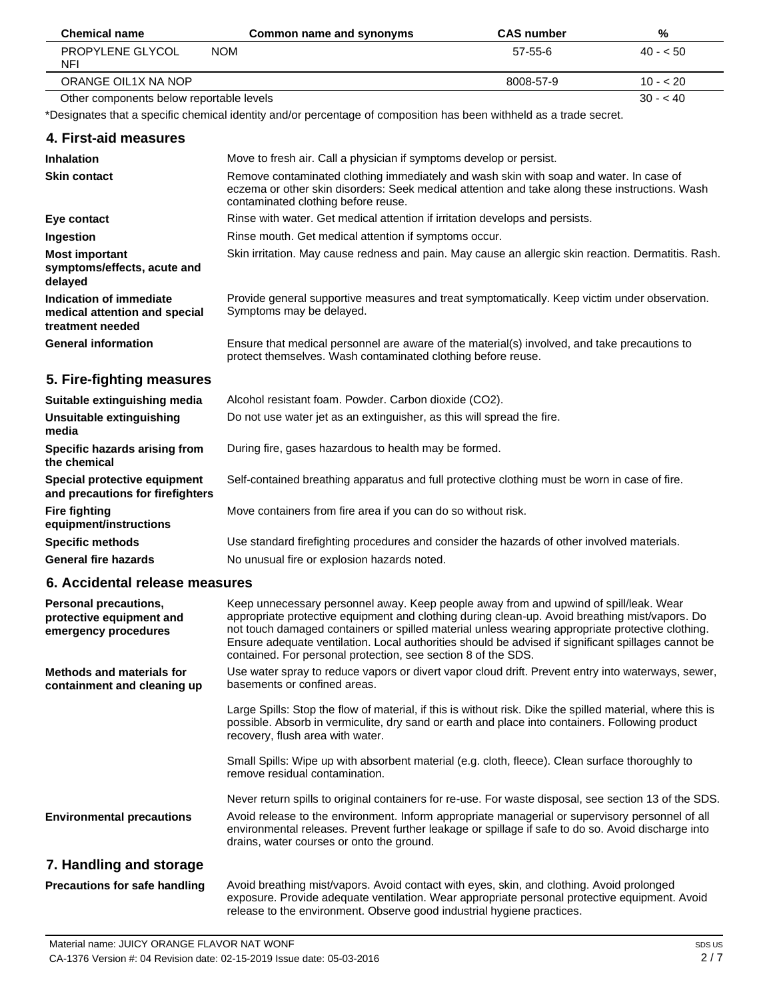| <b>Chemical name</b>                     | Common name and synonyms                                                                                            | <b>CAS number</b> | %         |
|------------------------------------------|---------------------------------------------------------------------------------------------------------------------|-------------------|-----------|
| PROPYLENE GLYCOL<br><b>NFI</b>           | <b>NOM</b>                                                                                                          | $57-55-6$         | $40 - 50$ |
| ORANGE OIL1X NA NOP                      |                                                                                                                     | 8008-57-9         | $10 - 20$ |
| Other components below reportable levels |                                                                                                                     |                   | $30 - 40$ |
|                                          | *Designates that a specific chemical identity and/or percentage of composition has been withheld as a trade secret. |                   |           |
| 4. First-aid measures                    |                                                                                                                     |                   |           |
| <b>Inhalation</b>                        | Move to fresh air. Call a physician if symptoms develop or persist.                                                 |                   |           |
| <b>Skin contact</b>                      | Remove contaminated clothing immediately and wash skin with soap and water. In case of                              |                   |           |

| <b>Skin contact</b>                                                                 | Remove contaminated clothing immediately and wash skin with soap and water. In case of<br>eczema or other skin disorders: Seek medical attention and take along these instructions. Wash<br>contaminated clothing before reuse. |
|-------------------------------------------------------------------------------------|---------------------------------------------------------------------------------------------------------------------------------------------------------------------------------------------------------------------------------|
| Eye contact                                                                         | Rinse with water. Get medical attention if irritation develops and persists.                                                                                                                                                    |
| Ingestion                                                                           | Rinse mouth. Get medical attention if symptoms occur.                                                                                                                                                                           |
| <b>Most important</b><br>symptoms/effects, acute and<br>delayed                     | Skin irritation. May cause redness and pain. May cause an allergic skin reaction. Dermatitis. Rash.                                                                                                                             |
| <b>Indication of immediate</b><br>medical attention and special<br>treatment needed | Provide general supportive measures and treat symptomatically. Keep victim under observation.<br>Symptoms may be delayed.                                                                                                       |
| <b>General information</b>                                                          | Ensure that medical personnel are aware of the material(s) involved, and take precautions to<br>protect themselves. Wash contaminated clothing before reuse.                                                                    |

# **5. Fire-fighting measures**

| Suitable extinguishing media                                     | Alcohol resistant foam. Powder. Carbon dioxide (CO2).                                         |
|------------------------------------------------------------------|-----------------------------------------------------------------------------------------------|
| Unsuitable extinguishing<br>media                                | Do not use water jet as an extinguisher, as this will spread the fire.                        |
| Specific hazards arising from<br>the chemical                    | During fire, gases hazardous to health may be formed.                                         |
| Special protective equipment<br>and precautions for firefighters | Self-contained breathing apparatus and full protective clothing must be worn in case of fire. |
| <b>Fire fighting</b><br>equipment/instructions                   | Move containers from fire area if you can do so without risk.                                 |
| <b>Specific methods</b>                                          | Use standard firefighting procedures and consider the hazards of other involved materials.    |
| <b>General fire hazards</b>                                      | No unusual fire or explosion hazards noted.                                                   |

## **6. Accidental release measures**

| Personal precautions,<br>protective equipment and<br>emergency procedures | Keep unnecessary personnel away. Keep people away from and upwind of spill/leak. Wear<br>appropriate protective equipment and clothing during clean-up. Avoid breathing mist/vapors. Do<br>not touch damaged containers or spilled material unless wearing appropriate protective clothing.<br>Ensure adequate ventilation. Local authorities should be advised if significant spillages cannot be<br>contained. For personal protection, see section 8 of the SDS. |
|---------------------------------------------------------------------------|---------------------------------------------------------------------------------------------------------------------------------------------------------------------------------------------------------------------------------------------------------------------------------------------------------------------------------------------------------------------------------------------------------------------------------------------------------------------|
| <b>Methods and materials for</b><br>containment and cleaning up           | Use water spray to reduce vapors or divert vapor cloud drift. Prevent entry into waterways, sewer,<br>basements or confined areas.                                                                                                                                                                                                                                                                                                                                  |
|                                                                           | Large Spills: Stop the flow of material, if this is without risk. Dike the spilled material, where this is<br>possible. Absorb in vermiculite, dry sand or earth and place into containers. Following product<br>recovery, flush area with water.                                                                                                                                                                                                                   |
|                                                                           | Small Spills: Wipe up with absorbent material (e.g. cloth, fleece). Clean surface thoroughly to<br>remove residual contamination.                                                                                                                                                                                                                                                                                                                                   |
|                                                                           | Never return spills to original containers for re-use. For waste disposal, see section 13 of the SDS.                                                                                                                                                                                                                                                                                                                                                               |
| <b>Environmental precautions</b>                                          | Avoid release to the environment. Inform appropriate managerial or supervisory personnel of all<br>environmental releases. Prevent further leakage or spillage if safe to do so. Avoid discharge into<br>drains, water courses or onto the ground.                                                                                                                                                                                                                  |
| 7. Handling and storage                                                   |                                                                                                                                                                                                                                                                                                                                                                                                                                                                     |
| <b>Precautions for safe handling</b>                                      | Avoid breathing mist/vapors. Avoid contact with eyes, skin, and clothing. Avoid prolonged                                                                                                                                                                                                                                                                                                                                                                           |

release to the environment. Observe good industrial hygiene practices.

exposure. Provide adequate ventilation. Wear appropriate personal protective equipment. Avoid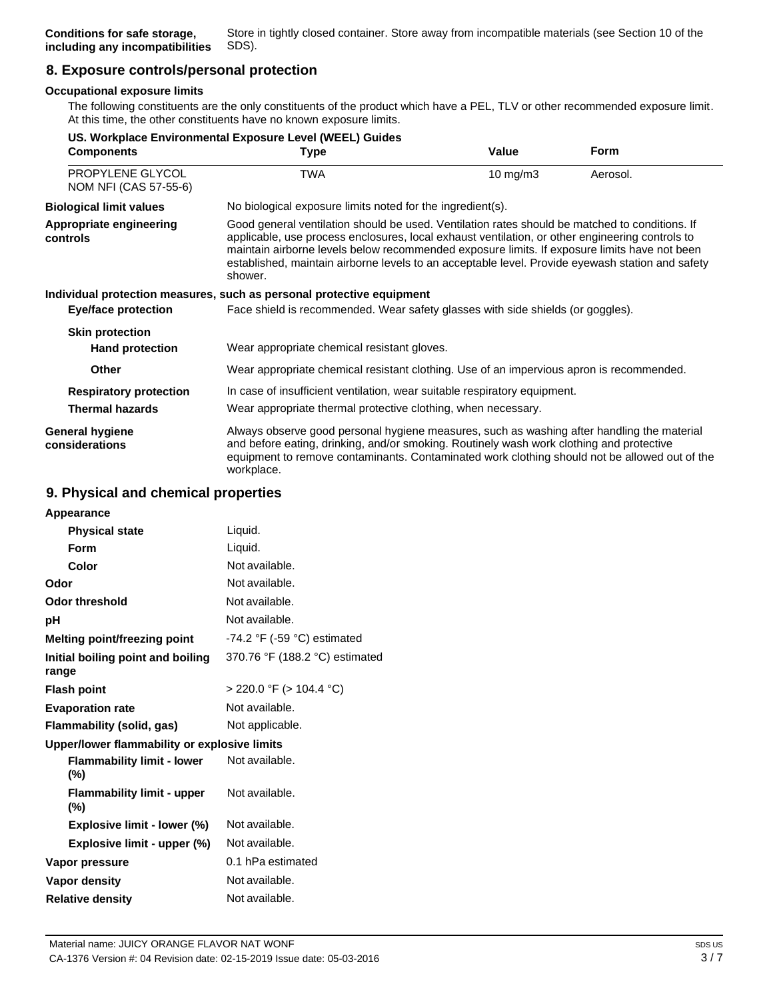# **8. Exposure controls/personal protection**

#### **Occupational exposure limits**

The following constituents are the only constituents of the product which have a PEL, TLV or other recommended exposure limit. At this time, the other constituents have no known exposure limits.

| US. Workplace Environmental Exposure Level (WEEL) Guides |                                                                                                                                                                                                                                                                                                                                                                                                                  |                   |             |
|----------------------------------------------------------|------------------------------------------------------------------------------------------------------------------------------------------------------------------------------------------------------------------------------------------------------------------------------------------------------------------------------------------------------------------------------------------------------------------|-------------------|-------------|
| <b>Components</b>                                        | Type                                                                                                                                                                                                                                                                                                                                                                                                             | Value             | <b>Form</b> |
| PROPYLENE GLYCOL<br>NOM NFI (CAS 57-55-6)                | TWA                                                                                                                                                                                                                                                                                                                                                                                                              | $10 \text{ mg/m}$ | Aerosol.    |
| <b>Biological limit values</b>                           | No biological exposure limits noted for the ingredient(s).                                                                                                                                                                                                                                                                                                                                                       |                   |             |
| Appropriate engineering<br>controls                      | Good general ventilation should be used. Ventilation rates should be matched to conditions. If<br>applicable, use process enclosures, local exhaust ventilation, or other engineering controls to<br>maintain airborne levels below recommended exposure limits. If exposure limits have not been<br>established, maintain airborne levels to an acceptable level. Provide eyewash station and safety<br>shower. |                   |             |
|                                                          | Individual protection measures, such as personal protective equipment                                                                                                                                                                                                                                                                                                                                            |                   |             |
| <b>Eye/face protection</b>                               | Face shield is recommended. Wear safety glasses with side shields (or goggles).                                                                                                                                                                                                                                                                                                                                  |                   |             |
| <b>Skin protection</b><br><b>Hand protection</b>         | Wear appropriate chemical resistant gloves.                                                                                                                                                                                                                                                                                                                                                                      |                   |             |
| <b>Other</b>                                             | Wear appropriate chemical resistant clothing. Use of an impervious apron is recommended.                                                                                                                                                                                                                                                                                                                         |                   |             |
| <b>Respiratory protection</b><br><b>Thermal hazards</b>  | In case of insufficient ventilation, wear suitable respiratory equipment.<br>Wear appropriate thermal protective clothing, when necessary.                                                                                                                                                                                                                                                                       |                   |             |
| <b>General hygiene</b><br>considerations                 | Always observe good personal hygiene measures, such as washing after handling the material<br>and before eating, drinking, and/or smoking. Routinely wash work clothing and protective<br>equipment to remove contaminants. Contaminated work clothing should not be allowed out of the<br>workplace.                                                                                                            |                   |             |

### **9. Physical and chemical properties**

| Appearance                                   |                                               |
|----------------------------------------------|-----------------------------------------------|
| <b>Physical state</b>                        | Liquid.                                       |
| Form                                         | Liquid.                                       |
| Color                                        | Not available.                                |
| Odor                                         | Not available.                                |
| <b>Odor threshold</b>                        | Not available.                                |
| рH                                           | Not available.                                |
| Melting point/freezing point                 | -74.2 $\degree$ F (-59 $\degree$ C) estimated |
| Initial boiling point and boiling<br>range   | 370.76 °F (188.2 °C) estimated                |
| <b>Flash point</b>                           | $>$ 220.0 °F ( $>$ 104.4 °C)                  |
| <b>Evaporation rate</b>                      | Not available.                                |
| Flammability (solid, gas)                    | Not applicable.                               |
| Upper/lower flammability or explosive limits |                                               |
| <b>Flammability limit - lower</b><br>$(\% )$ | Not available.                                |
| <b>Flammability limit - upper</b><br>$(\% )$ | Not available.                                |
| Explosive limit - lower (%)                  | Not available.                                |
| Explosive limit - upper (%)                  | Not available.                                |
| Vapor pressure                               | 0.1 hPa estimated                             |
| Vapor density                                | Not available.                                |
| <b>Relative density</b>                      | Not available.                                |
|                                              |                                               |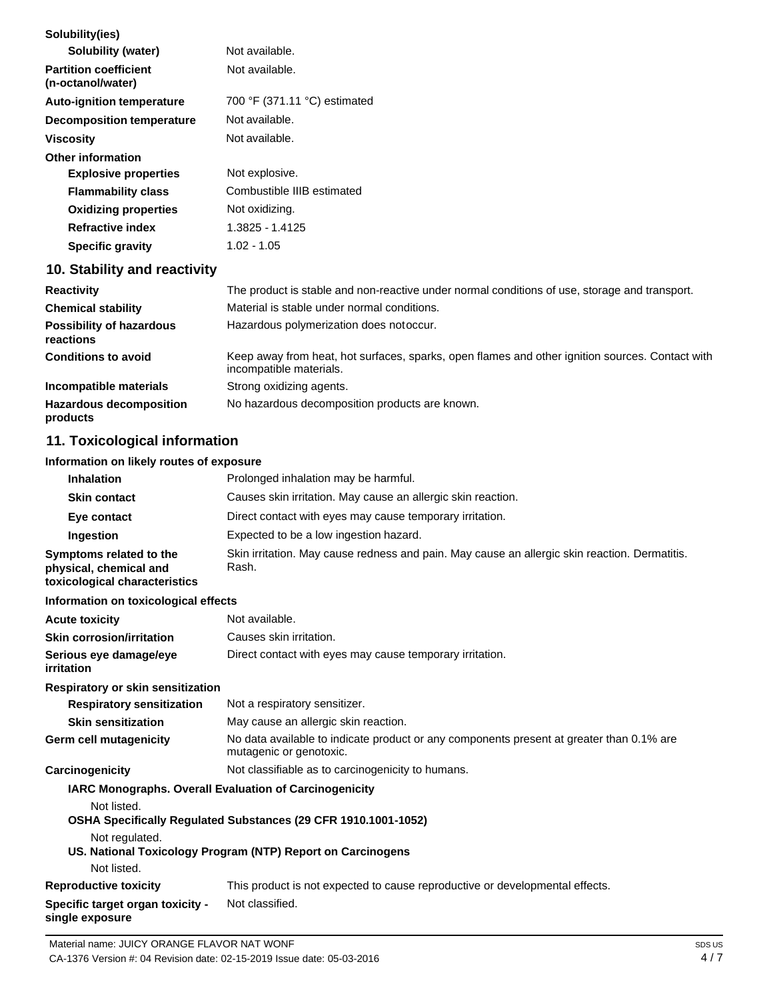| Solubility(ies)                                   |                                                                                                                            |
|---------------------------------------------------|----------------------------------------------------------------------------------------------------------------------------|
| Solubility (water)                                | Not available.                                                                                                             |
| <b>Partition coefficient</b><br>(n-octanol/water) | Not available.                                                                                                             |
| <b>Auto-ignition temperature</b>                  | 700 °F (371.11 °C) estimated                                                                                               |
| <b>Decomposition temperature</b>                  | Not available.                                                                                                             |
| <b>Viscosity</b>                                  | Not available.                                                                                                             |
| <b>Other information</b>                          |                                                                                                                            |
| <b>Explosive properties</b>                       | Not explosive.                                                                                                             |
| <b>Flammability class</b>                         | Combustible IIIB estimated                                                                                                 |
| <b>Oxidizing properties</b>                       | Not oxidizing.                                                                                                             |
| <b>Refractive index</b>                           | 1.3825 - 1.4125                                                                                                            |
| <b>Specific gravity</b>                           | $1.02 - 1.05$                                                                                                              |
| 10. Stability and reactivity                      |                                                                                                                            |
| <b>Reactivity</b>                                 | The product is stable and non-reactive under normal conditions of use, storage and transport.                              |
| <b>Chemical stability</b>                         | Material is stable under normal conditions.                                                                                |
| <b>Possibility of hazardous</b><br>reactions      | Hazardous polymerization does notoccur.                                                                                    |
| <b>Conditions to avoid</b>                        | Keep away from heat, hot surfaces, sparks, open flames and other ignition sources. Contact with<br>incompatible materials. |
| Incompatible materials                            | Strong oxidizing agents.                                                                                                   |
| <b>Hazardous decomposition</b>                    | No hazardous decomposition products are known.                                                                             |

**Hazardous decomposition products**

# **11. Toxicological information**

### **Information on likely routes of exposure**

| <b>Inhalation</b>                                                                  | Prolonged inhalation may be harmful.                                                                                |
|------------------------------------------------------------------------------------|---------------------------------------------------------------------------------------------------------------------|
| <b>Skin contact</b>                                                                | Causes skin irritation. May cause an allergic skin reaction.                                                        |
| Eye contact                                                                        | Direct contact with eyes may cause temporary irritation.                                                            |
| Ingestion                                                                          | Expected to be a low ingestion hazard.                                                                              |
| Symptoms related to the<br>physical, chemical and<br>toxicological characteristics | Skin irritation. May cause redness and pain. May cause an allergic skin reaction. Dermatitis.<br>Rash.              |
| Information on toxicological effects                                               |                                                                                                                     |
| <b>Acute toxicity</b>                                                              | Not available.                                                                                                      |
| <b>Skin corrosion/irritation</b>                                                   | Causes skin irritation.                                                                                             |
| Serious eye damage/eye<br>irritation                                               | Direct contact with eyes may cause temporary irritation.                                                            |
| Respiratory or skin sensitization                                                  |                                                                                                                     |
| <b>Respiratory sensitization</b>                                                   | Not a respiratory sensitizer.                                                                                       |
| <b>Skin sensitization</b>                                                          | May cause an allergic skin reaction.                                                                                |
| Germ cell mutagenicity                                                             | No data available to indicate product or any components present at greater than 0.1% are<br>mutagenic or genotoxic. |
| Carcinogenicity                                                                    | Not classifiable as to carcinogenicity to humans.                                                                   |
| IARC Monographs. Overall Evaluation of Carcinogenicity<br>Not listed.              |                                                                                                                     |
|                                                                                    | OSHA Specifically Regulated Substances (29 CFR 1910.1001-1052)                                                      |
| Not regulated.                                                                     | US. National Toxicology Program (NTP) Report on Carcinogens                                                         |
| Not listed.                                                                        |                                                                                                                     |

**Reproductive toxicity** This product is not expected to cause reproductive or developmental effects.

**Specific target organ toxicity single exposure** Not classified.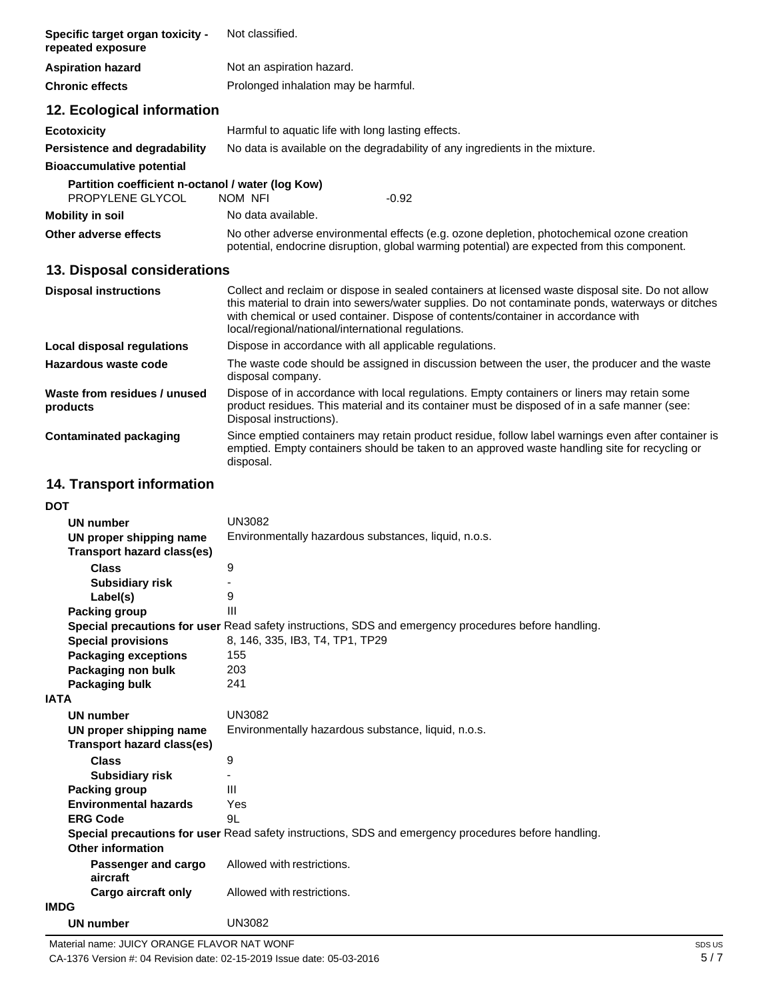| Specific target organ toxicity -<br>repeated exposure                 | Not classified.                                                                                                                                                                                                                                                                                                                                   |  |
|-----------------------------------------------------------------------|---------------------------------------------------------------------------------------------------------------------------------------------------------------------------------------------------------------------------------------------------------------------------------------------------------------------------------------------------|--|
| <b>Aspiration hazard</b>                                              | Not an aspiration hazard.                                                                                                                                                                                                                                                                                                                         |  |
| <b>Chronic effects</b>                                                | Prolonged inhalation may be harmful.                                                                                                                                                                                                                                                                                                              |  |
| 12. Ecological information                                            |                                                                                                                                                                                                                                                                                                                                                   |  |
| <b>Ecotoxicity</b>                                                    | Harmful to aquatic life with long lasting effects.                                                                                                                                                                                                                                                                                                |  |
| Persistence and degradability                                         | No data is available on the degradability of any ingredients in the mixture.                                                                                                                                                                                                                                                                      |  |
| <b>Bioaccumulative potential</b>                                      |                                                                                                                                                                                                                                                                                                                                                   |  |
| Partition coefficient n-octanol / water (log Kow)<br>PROPYLENE GLYCOL | NOM NFI<br>$-0.92$                                                                                                                                                                                                                                                                                                                                |  |
| <b>Mobility in soil</b>                                               | No data available.                                                                                                                                                                                                                                                                                                                                |  |
| Other adverse effects                                                 | No other adverse environmental effects (e.g. ozone depletion, photochemical ozone creation<br>potential, endocrine disruption, global warming potential) are expected from this component.                                                                                                                                                        |  |
| 13. Disposal considerations                                           |                                                                                                                                                                                                                                                                                                                                                   |  |
| <b>Disposal instructions</b>                                          | Collect and reclaim or dispose in sealed containers at licensed waste disposal site. Do not allow<br>this material to drain into sewers/water supplies. Do not contaminate ponds, waterways or ditches<br>with chemical or used container. Dispose of contents/container in accordance with<br>local/regional/national/international regulations. |  |
| <b>Local disposal regulations</b>                                     | Dispose in accordance with all applicable regulations.                                                                                                                                                                                                                                                                                            |  |
| Hazardous waste code                                                  | The waste code should be assigned in discussion between the user, the producer and the waste<br>disposal company.                                                                                                                                                                                                                                 |  |
| Waste from residues / unused<br>products                              | Dispose of in accordance with local regulations. Empty containers or liners may retain some<br>product residues. This material and its container must be disposed of in a safe manner (see:<br>Disposal instructions).                                                                                                                            |  |
| <b>Contaminated packaging</b>                                         | Since emptied containers may retain product residue, follow label warnings even after container is<br>emptied. Empty containers should be taken to an approved waste handling site for recycling or<br>disposal.                                                                                                                                  |  |

# **14. Transport information**

| <b>DOT</b>                        |                                                                                                      |
|-----------------------------------|------------------------------------------------------------------------------------------------------|
| <b>UN number</b>                  | <b>UN3082</b>                                                                                        |
| UN proper shipping name           | Environmentally hazardous substances, liquid, n.o.s.                                                 |
| <b>Transport hazard class(es)</b> |                                                                                                      |
| <b>Class</b>                      | 9                                                                                                    |
| <b>Subsidiary risk</b>            |                                                                                                      |
| Label(s)                          | 9                                                                                                    |
| <b>Packing group</b>              | Ш                                                                                                    |
|                                   | Special precautions for user Read safety instructions, SDS and emergency procedures before handling. |
| <b>Special provisions</b>         | 8, 146, 335, IB3, T4, TP1, TP29                                                                      |
| <b>Packaging exceptions</b>       | 155                                                                                                  |
| Packaging non bulk                | 203                                                                                                  |
| Packaging bulk                    | 241                                                                                                  |
| <b>IATA</b>                       |                                                                                                      |
| <b>UN number</b>                  | <b>UN3082</b>                                                                                        |
| UN proper shipping name           | Environmentally hazardous substance, liquid, n.o.s.                                                  |
| Transport hazard class(es)        |                                                                                                      |
| <b>Class</b>                      | 9                                                                                                    |
| <b>Subsidiary risk</b>            |                                                                                                      |
| Packing group                     | Ш                                                                                                    |
| <b>Environmental hazards</b>      | Yes                                                                                                  |
| <b>ERG Code</b>                   | 9L                                                                                                   |
|                                   | Special precautions for user Read safety instructions, SDS and emergency procedures before handling. |
| Other information                 |                                                                                                      |
| Passenger and cargo<br>aircraft   | Allowed with restrictions.                                                                           |
| Cargo aircraft only               | Allowed with restrictions.                                                                           |
| <b>IMDG</b>                       |                                                                                                      |
| <b>UN number</b>                  | <b>UN3082</b>                                                                                        |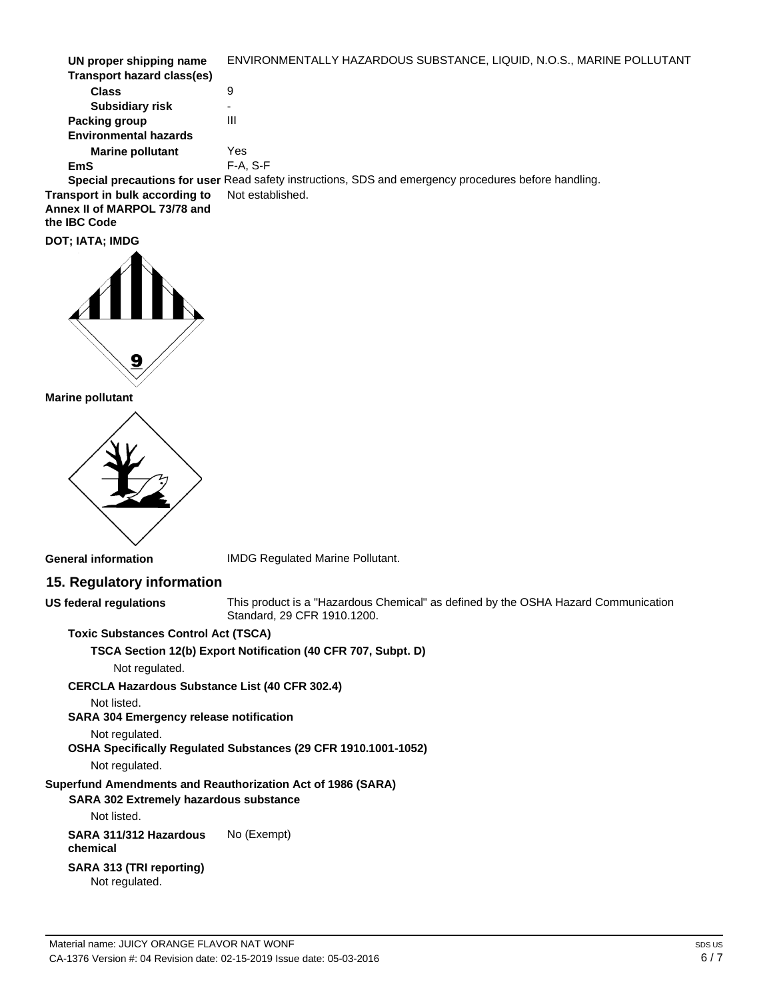| UN proper shipping name        | ENVIRONMENTALLY HAZARDOUS SUBSTANCE, LIQUID, N.O.S., MARINE POLLUTANT                                |
|--------------------------------|------------------------------------------------------------------------------------------------------|
| Transport hazard class(es)     |                                                                                                      |
| <b>Class</b>                   | 9                                                                                                    |
| <b>Subsidiary risk</b>         |                                                                                                      |
| Packing group                  | Ш                                                                                                    |
| <b>Environmental hazards</b>   |                                                                                                      |
| <b>Marine pollutant</b>        | Yes                                                                                                  |
| EmS                            | $F-A. S-F$                                                                                           |
|                                | Special precautions for user Read safety instructions, SDS and emergency procedures before handling. |
| Transport in bulk according to | Not established.                                                                                     |

**Annex II of MARPOL 73/78 and the IBC Code**

**DOT; IATA; IMDG**



**Marine pollutant**



**General information**

IMDG Regulated Marine Pollutant.

### **15. Regulatory information**

**US federal regulations**

This product is a "Hazardous Chemical" as defined by the OSHA Hazard Communication Standard, 29 CFR 1910.1200.

**Toxic Substances Control Act (TSCA)**

**TSCA Section 12(b) Export Notification (40 CFR 707, Subpt. D)**

Not regulated.

**CERCLA Hazardous Substance List (40 CFR 302.4)**

Not listed.

**SARA 304 Emergency release notification**

Not regulated.

**OSHA Specifically Regulated Substances (29 CFR 1910.1001-1052)**

Not regulated.

**Superfund Amendments and Reauthorization Act of 1986 (SARA)** 

### **SARA 302 Extremely hazardous substance**

Not listed.

**SARA 311/312 Hazardous chemical** No (Exempt)

**SARA 313 (TRI reporting)** Not regulated.